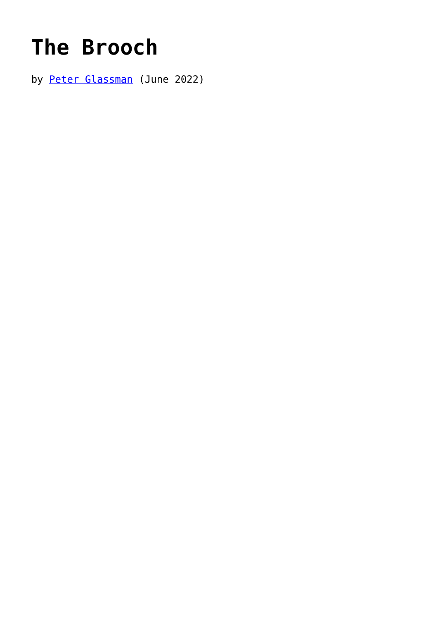## **[The Brooch](https://www.newenglishreview.org/articles/the-brooch/)**

by [Peter Glassman](https://www.newenglishreview.org/authors/peter-glassman/) (June 2022)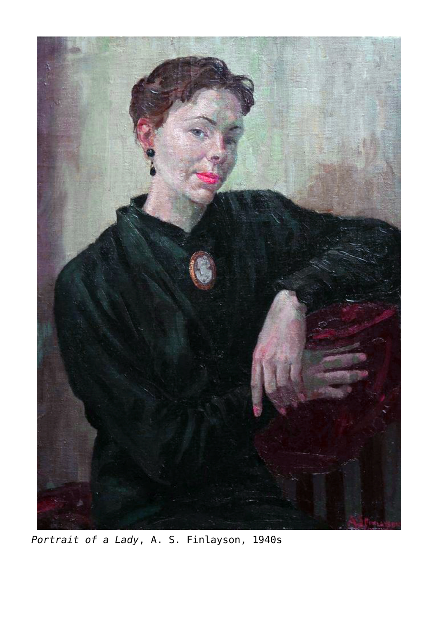

*Portrait of a Lady*, A. S. Finlayson, 1940s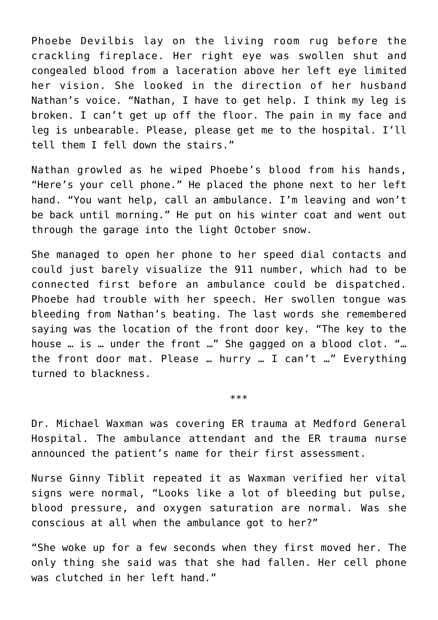Phoebe Devilbis lay on the living room rug before the crackling fireplace. Her right eye was swollen shut and congealed blood from a laceration above her left eye limited her vision. She looked in the direction of her husband Nathan's voice. "Nathan, I have to get help. I think my leg is broken. I can't get up off the floor. The pain in my face and leg is unbearable. Please, please get me to the hospital. I'll tell them I fell down the stairs."

Nathan growled as he wiped Phoebe's blood from his hands, "Here's your cell phone." He placed the phone next to her left hand. "You want help, call an ambulance. I'm leaving and won't be back until morning." He put on his winter coat and went out through the garage into the light October snow.

She managed to open her phone to her speed dial contacts and could just barely visualize the 911 number, which had to be connected first before an ambulance could be dispatched. Phoebe had trouble with her speech. Her swollen tongue was bleeding from Nathan's beating. The last words she remembered saying was the location of the front door key. "The key to the house … is … under the front …" She gagged on a blood clot. "… the front door mat. Please … hurry … I can't …" Everything turned to blackness.

\*\*\*

Dr. Michael Waxman was covering ER trauma at Medford General Hospital. The ambulance attendant and the ER trauma nurse announced the patient's name for their first assessment.

Nurse Ginny Tiblit repeated it as Waxman verified her vital signs were normal, "Looks like a lot of bleeding but pulse, blood pressure, and oxygen saturation are normal. Was she conscious at all when the ambulance got to her?"

"She woke up for a few seconds when they first moved her. The only thing she said was that she had fallen. Her cell phone was clutched in her left hand."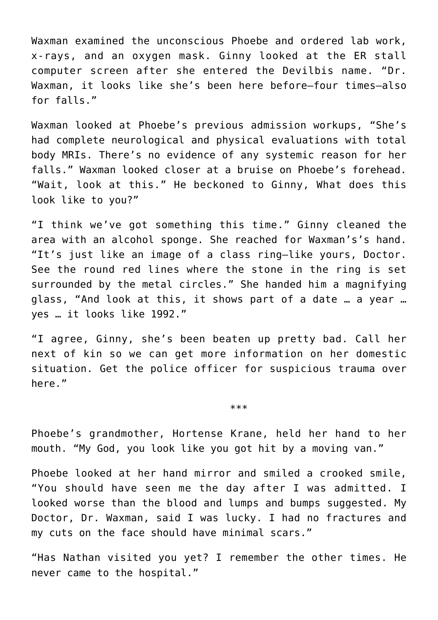Waxman examined the unconscious Phoebe and ordered lab work, x-rays, and an oxygen mask. Ginny looked at the ER stall computer screen after she entered the Devilbis name. "Dr. Waxman, it looks like she's been here before—four times—also for falls."

Waxman looked at Phoebe's previous admission workups, "She's had complete neurological and physical evaluations with total body MRIs. There's no evidence of any systemic reason for her falls." Waxman looked closer at a bruise on Phoebe's forehead. "Wait, look at this." He beckoned to Ginny, What does this look like to you?"

"I think we've got something this time." Ginny cleaned the area with an alcohol sponge. She reached for Waxman's's hand. "It's just like an image of a class ring—like yours, Doctor. See the round red lines where the stone in the ring is set surrounded by the metal circles." She handed him a magnifying glass, "And look at this, it shows part of a date … a year … yes … it looks like 1992."

"I agree, Ginny, she's been beaten up pretty bad. Call her next of kin so we can get more information on her domestic situation. Get the police officer for suspicious trauma over here."

\*\*\*

Phoebe's grandmother, Hortense Krane, held her hand to her mouth. "My God, you look like you got hit by a moving van."

Phoebe looked at her hand mirror and smiled a crooked smile, "You should have seen me the day after I was admitted. I looked worse than the blood and lumps and bumps suggested. My Doctor, Dr. Waxman, said I was lucky. I had no fractures and my cuts on the face should have minimal scars."

"Has Nathan visited you yet? I remember the other times. He never came to the hospital."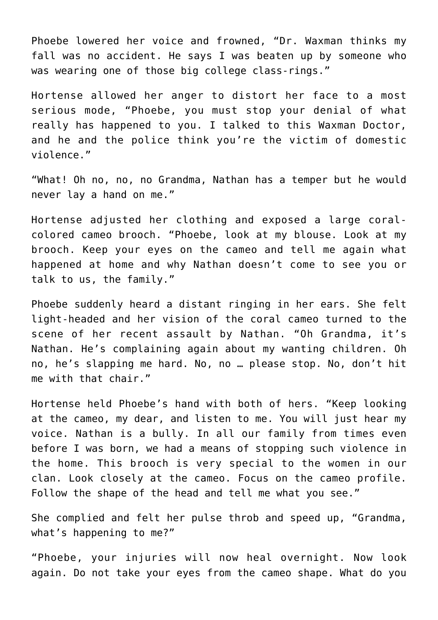Phoebe lowered her voice and frowned, "Dr. Waxman thinks my fall was no accident. He says I was beaten up by someone who was wearing one of those big college class-rings."

Hortense allowed her anger to distort her face to a most serious mode, "Phoebe, you must stop your denial of what really has happened to you. I talked to this Waxman Doctor, and he and the police think you're the victim of domestic violence."

"What! Oh no, no, no Grandma, Nathan has a temper but he would never lay a hand on me."

Hortense adjusted her clothing and exposed a large coralcolored cameo brooch. "Phoebe, look at my blouse. Look at my brooch. Keep your eyes on the cameo and tell me again what happened at home and why Nathan doesn't come to see you or talk to us, the family."

Phoebe suddenly heard a distant ringing in her ears. She felt light-headed and her vision of the coral cameo turned to the scene of her recent assault by Nathan. "Oh Grandma, it's Nathan. He's complaining again about my wanting children. Oh no, he's slapping me hard. No, no … please stop. No, don't hit me with that chair."

Hortense held Phoebe's hand with both of hers. "Keep looking at the cameo, my dear, and listen to me. You will just hear my voice. Nathan is a bully. In all our family from times even before I was born, we had a means of stopping such violence in the home. This brooch is very special to the women in our clan. Look closely at the cameo. Focus on the cameo profile. Follow the shape of the head and tell me what you see."

She complied and felt her pulse throb and speed up, "Grandma, what's happening to me?"

"Phoebe, your injuries will now heal overnight. Now look again. Do not take your eyes from the cameo shape. What do you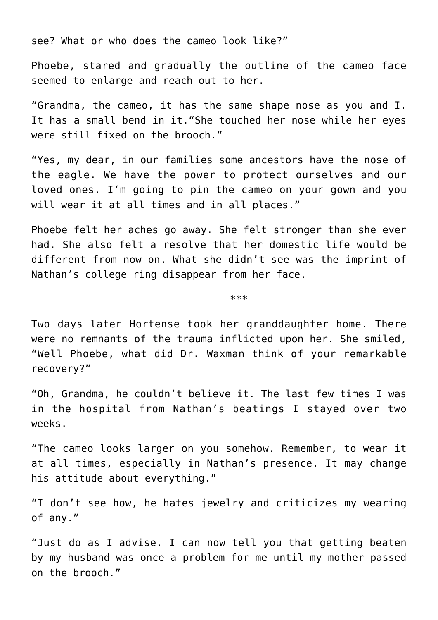see? What or who does the cameo look like?"

Phoebe, stared and gradually the outline of the cameo face seemed to enlarge and reach out to her.

"Grandma, the cameo, it has the same shape nose as you and I. It has a small bend in it."She touched her nose while her eyes were still fixed on the brooch."

"Yes, my dear, in our families some ancestors have the nose of the eagle. We have the power to protect ourselves and our loved ones. I'm going to pin the cameo on your gown and you will wear it at all times and in all places."

Phoebe felt her aches go away. She felt stronger than she ever had. She also felt a resolve that her domestic life would be different from now on. What she didn't see was the imprint of Nathan's college ring disappear from her face.

\*\*\*

Two days later Hortense took her granddaughter home. There were no remnants of the trauma inflicted upon her. She smiled, "Well Phoebe, what did Dr. Waxman think of your remarkable recovery?"

"Oh, Grandma, he couldn't believe it. The last few times I was in the hospital from Nathan's beatings I stayed over two weeks.

"The cameo looks larger on you somehow. Remember, to wear it at all times, especially in Nathan's presence. It may change his attitude about everything."

"I don't see how, he hates jewelry and criticizes my wearing of any."

"Just do as I advise. I can now tell you that getting beaten by my husband was once a problem for me until my mother passed on the brooch."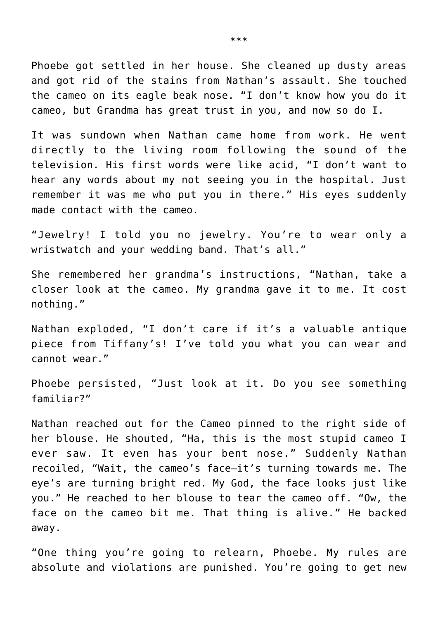Phoebe got settled in her house. She cleaned up dusty areas and got rid of the stains from Nathan's assault. She touched the cameo on its eagle beak nose. "I don't know how you do it cameo, but Grandma has great trust in you, and now so do I.

It was sundown when Nathan came home from work. He went directly to the living room following the sound of the television. His first words were like acid, "I don't want to hear any words about my not seeing you in the hospital. Just remember it was me who put you in there." His eyes suddenly made contact with the cameo.

"Jewelry! I told you no jewelry. You're to wear only a wristwatch and your wedding band. That's all."

She remembered her grandma's instructions, "Nathan, take a closer look at the cameo. My grandma gave it to me. It cost nothing."

Nathan exploded, "I don't care if it's a valuable antique piece from Tiffany's! I've told you what you can wear and cannot wear."

Phoebe persisted, "Just look at it. Do you see something familiar?"

Nathan reached out for the Cameo pinned to the right side of her blouse. He shouted, "Ha, this is the most stupid cameo I ever saw. It even has your bent nose." Suddenly Nathan recoiled, "Wait, the cameo's face–it's turning towards me. The eye's are turning bright red. My God, the face looks just like you." He reached to her blouse to tear the cameo off. "Ow, the face on the cameo bit me. That thing is alive." He backed away.

"One thing you're going to relearn, Phoebe. My rules are absolute and violations are punished. You're going to get new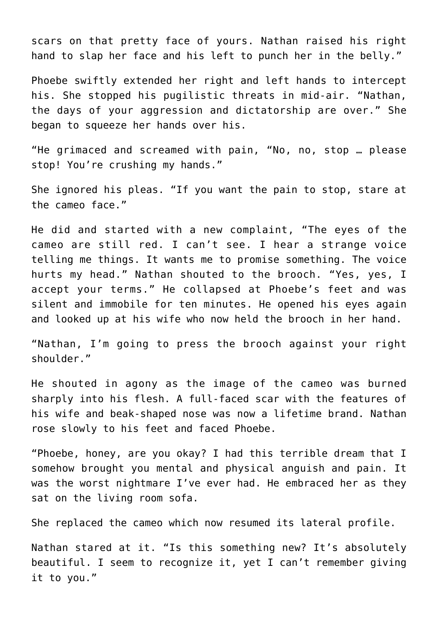scars on that pretty face of yours. Nathan raised his right hand to slap her face and his left to punch her in the belly."

Phoebe swiftly extended her right and left hands to intercept his. She stopped his pugilistic threats in mid-air. "Nathan, the days of your aggression and dictatorship are over." She began to squeeze her hands over his.

"He grimaced and screamed with pain, "No, no, stop … please stop! You're crushing my hands."

She ignored his pleas. "If you want the pain to stop, stare at the cameo face."

He did and started with a new complaint, "The eyes of the cameo are still red. I can't see. I hear a strange voice telling me things. It wants me to promise something. The voice hurts my head." Nathan shouted to the brooch. "Yes, yes, I accept your terms." He collapsed at Phoebe's feet and was silent and immobile for ten minutes. He opened his eyes again and looked up at his wife who now held the brooch in her hand.

"Nathan, I'm going to press the brooch against your right shoulder."

He shouted in agony as the image of the cameo was burned sharply into his flesh. A full-faced scar with the features of his wife and beak-shaped nose was now a lifetime brand. Nathan rose slowly to his feet and faced Phoebe.

"Phoebe, honey, are you okay? I had this terrible dream that I somehow brought you mental and physical anguish and pain. It was the worst nightmare I've ever had. He embraced her as they sat on the living room sofa.

She replaced the cameo which now resumed its lateral profile.

Nathan stared at it. "Is this something new? It's absolutely beautiful. I seem to recognize it, yet I can't remember giving it to you."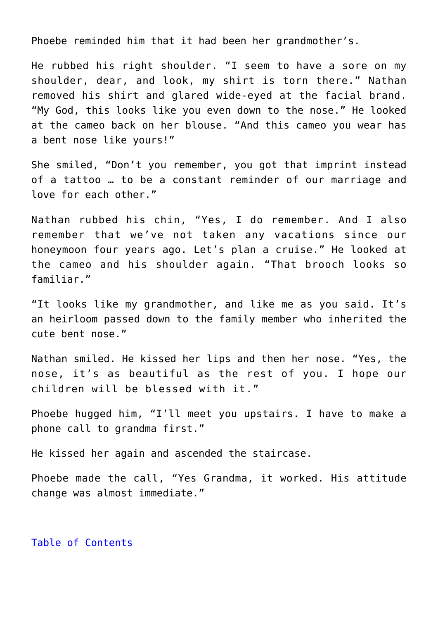Phoebe reminded him that it had been her grandmother's.

He rubbed his right shoulder. "I seem to have a sore on my shoulder, dear, and look, my shirt is torn there." Nathan removed his shirt and glared wide-eyed at the facial brand. "My God, this looks like you even down to the nose." He looked at the cameo back on her blouse. "And this cameo you wear has a bent nose like yours!"

She smiled, "Don't you remember, you got that imprint instead of a tattoo … to be a constant reminder of our marriage and love for each other."

Nathan rubbed his chin, "Yes, I do remember. And I also remember that we've not taken any vacations since our honeymoon four years ago. Let's plan a cruise." He looked at the cameo and his shoulder again. "That brooch looks so familiar."

"It looks like my grandmother, and like me as you said. It's an heirloom passed down to the family member who inherited the cute bent nose."

Nathan smiled. He kissed her lips and then her nose. "Yes, the nose, it's as beautiful as the rest of you. I hope our children will be blessed with it."

Phoebe hugged him, "I'll meet you upstairs. I have to make a phone call to grandma first."

He kissed her again and ascended the staircase.

Phoebe made the call, "Yes Grandma, it worked. His attitude change was almost immediate."

## [Table of Contents](https://www.newenglishreview.org/)